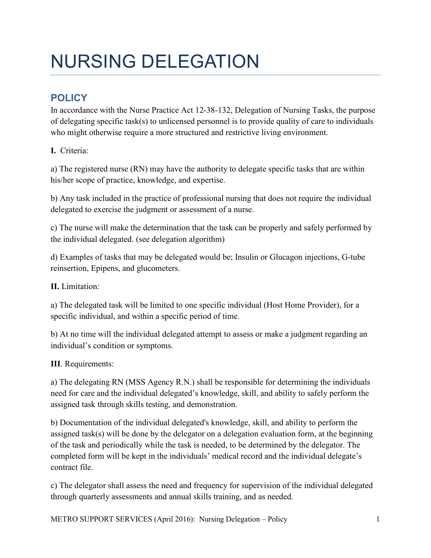## NURSING DELEGATION

## **POLICY**

In accordance with the Nurse Practice Act 12-38-132, Delegation of Nursing Tasks, the purpose of delegating specific task(s) to unlicensed personnel is to provide quality of care to individuals who might otherwise require a more structured and restrictive living environment.

**I.** Criteria:

a) The registered nurse (RN) may have the authority to delegate specific tasks that are within his/her scope of practice, knowledge, and expertise.

b) Any task included in the practice of professional nursing that does not require the individual delegated to exercise the judgment or assessment of a nurse.

c) The nurse will make the determination that the task can be properly and safely performed by the individual delegated. (see delegation algorithm)

d) Examples of tasks that may be delegated would be; Insulin or Glucagon injections, G-tube reinsertion, Epipens, and glucometers.

**II.** Limitation:

a) The delegated task will be limited to one specific individual (Host Home Provider), for a specific individual, and within a specific period of time.

b) At no time will the individual delegated attempt to assess or make a judgment regarding an individual's condition or symptoms.

**III**. Requirements:

a) The delegating RN (MSS Agency R.N.) shall be responsible for determining the individuals need for care and the individual delegated's knowledge, skill, and ability to safely perform the assigned task through skills testing, and demonstration.

b) Documentation of the individual delegated's knowledge, skill, and ability to perform the assigned task(s) will be done by the delegator on a delegation evaluation form, at the beginning of the task and periodically while the task is needed, to be determined by the delegator. The completed form will be kept in the individuals' medical record and the individual delegate's contract file.

c) The delegator shall assess the need and frequency for supervision of the individual delegated through quarterly assessments and annual skills training, and as needed.